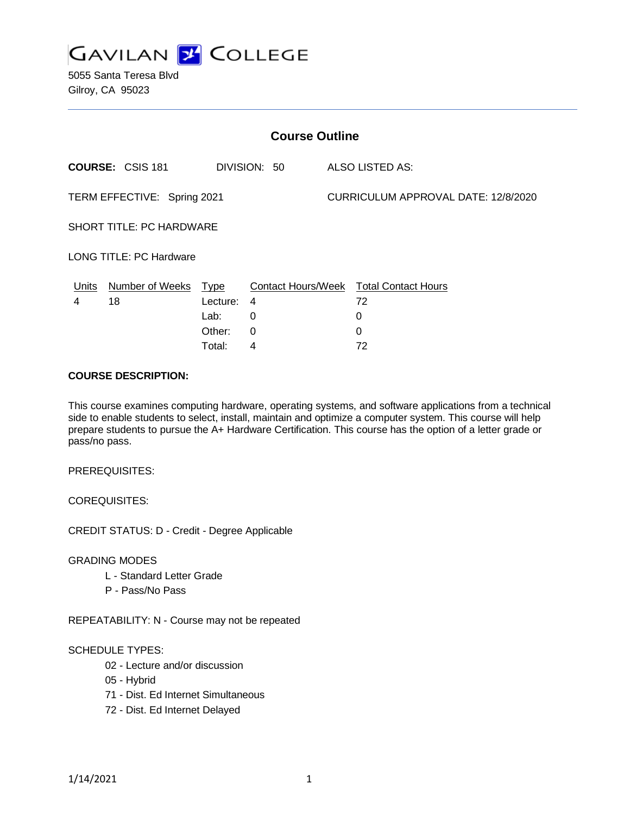

5055 Santa Teresa Blvd Gilroy, CA 95023

| <b>Course Outline</b>           |                                         |          |   |                                     |                                        |
|---------------------------------|-----------------------------------------|----------|---|-------------------------------------|----------------------------------------|
|                                 | DIVISION: 50<br><b>COURSE: CSIS 181</b> |          |   | ALSO LISTED AS:                     |                                        |
| TERM EFFECTIVE: Spring 2021     |                                         |          |   | CURRICULUM APPROVAL DATE: 12/8/2020 |                                        |
| <b>SHORT TITLE: PC HARDWARE</b> |                                         |          |   |                                     |                                        |
| <b>LONG TITLE: PC Hardware</b>  |                                         |          |   |                                     |                                        |
| Units                           | Number of Weeks Type                    |          |   |                                     | Contact Hours/Week Total Contact Hours |
| 4                               | 18                                      | Lecture: | 4 |                                     | 72                                     |
|                                 |                                         | Lab:     | 0 |                                     | 0                                      |
|                                 |                                         | Other:   | 0 |                                     | 0                                      |
|                                 |                                         | Total:   | 4 |                                     | 72                                     |

### **COURSE DESCRIPTION:**

This course examines computing hardware, operating systems, and software applications from a technical side to enable students to select, install, maintain and optimize a computer system. This course will help prepare students to pursue the A+ Hardware Certification. This course has the option of a letter grade or pass/no pass.

PREREQUISITES:

COREQUISITES:

CREDIT STATUS: D - Credit - Degree Applicable

GRADING MODES

- L Standard Letter Grade
- P Pass/No Pass

REPEATABILITY: N - Course may not be repeated

#### SCHEDULE TYPES:

- 02 Lecture and/or discussion
- 05 Hybrid
- 71 Dist. Ed Internet Simultaneous
- 72 Dist. Ed Internet Delayed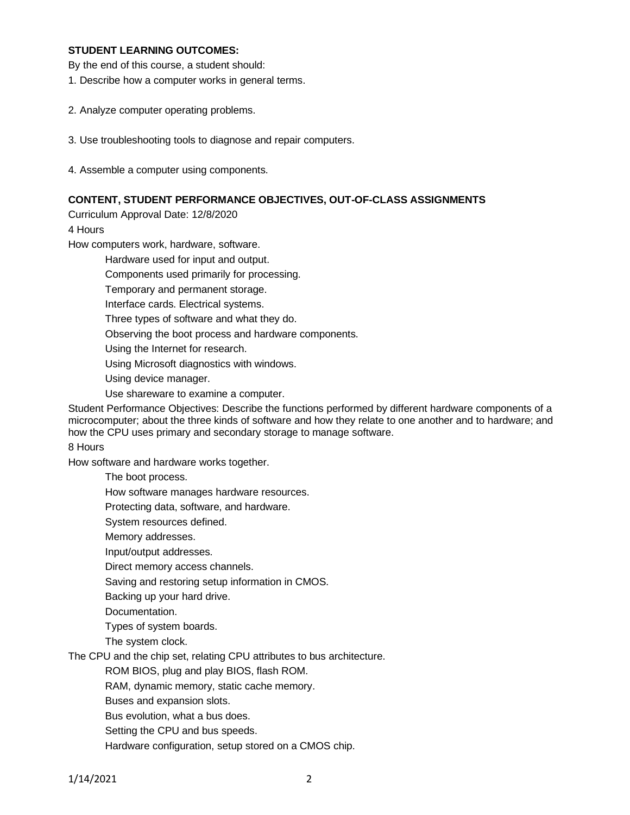### **STUDENT LEARNING OUTCOMES:**

By the end of this course, a student should:

- 1. Describe how a computer works in general terms.
- 2. Analyze computer operating problems.
- 3. Use troubleshooting tools to diagnose and repair computers.
- 4. Assemble a computer using components.

#### **CONTENT, STUDENT PERFORMANCE OBJECTIVES, OUT-OF-CLASS ASSIGNMENTS**

Curriculum Approval Date: 12/8/2020

4 Hours

How computers work, hardware, software.

Hardware used for input and output.

Components used primarily for processing.

Temporary and permanent storage.

Interface cards. Electrical systems.

Three types of software and what they do.

Observing the boot process and hardware components.

Using the Internet for research.

Using Microsoft diagnostics with windows.

Using device manager.

Use shareware to examine a computer.

Student Performance Objectives: Describe the functions performed by different hardware components of a microcomputer; about the three kinds of software and how they relate to one another and to hardware; and how the CPU uses primary and secondary storage to manage software.

#### 8 Hours

How software and hardware works together.

The boot process.

How software manages hardware resources.

Protecting data, software, and hardware.

System resources defined.

Memory addresses.

Input/output addresses.

Direct memory access channels.

Saving and restoring setup information in CMOS.

Backing up your hard drive.

Documentation.

Types of system boards.

The system clock.

The CPU and the chip set, relating CPU attributes to bus architecture.

ROM BIOS, plug and play BIOS, flash ROM.

RAM, dynamic memory, static cache memory.

Buses and expansion slots.

Bus evolution, what a bus does.

Setting the CPU and bus speeds.

Hardware configuration, setup stored on a CMOS chip.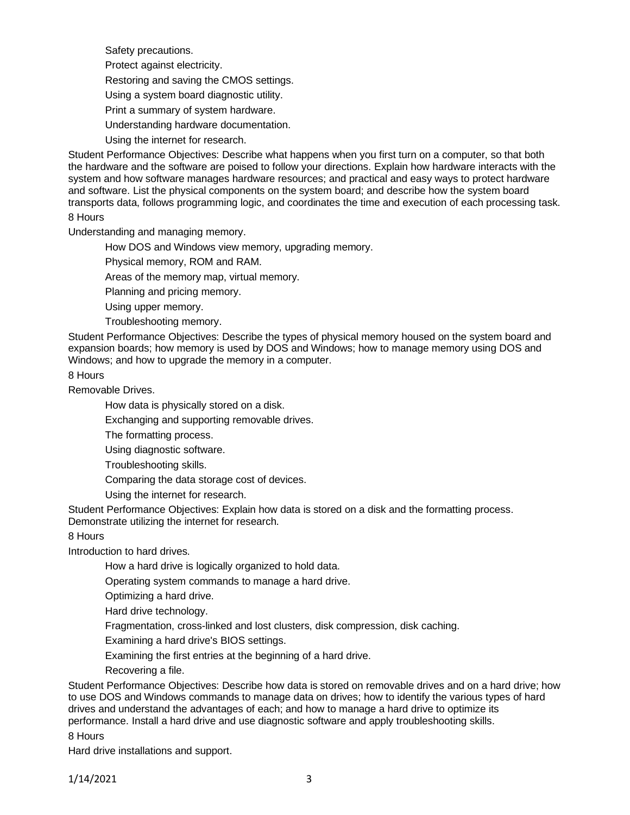Safety precautions.

Protect against electricity.

Restoring and saving the CMOS settings.

Using a system board diagnostic utility.

Print a summary of system hardware.

Understanding hardware documentation.

Using the internet for research.

Student Performance Objectives: Describe what happens when you first turn on a computer, so that both the hardware and the software are poised to follow your directions. Explain how hardware interacts with the system and how software manages hardware resources; and practical and easy ways to protect hardware and software. List the physical components on the system board; and describe how the system board transports data, follows programming logic, and coordinates the time and execution of each processing task.

8 Hours

Understanding and managing memory.

How DOS and Windows view memory, upgrading memory.

Physical memory, ROM and RAM.

Areas of the memory map, virtual memory.

Planning and pricing memory.

Using upper memory.

Troubleshooting memory.

Student Performance Objectives: Describe the types of physical memory housed on the system board and expansion boards; how memory is used by DOS and Windows; how to manage memory using DOS and Windows; and how to upgrade the memory in a computer.

#### 8 Hours

Removable Drives.

How data is physically stored on a disk.

Exchanging and supporting removable drives.

The formatting process.

Using diagnostic software.

Troubleshooting skills.

Comparing the data storage cost of devices.

Using the internet for research.

Student Performance Objectives: Explain how data is stored on a disk and the formatting process. Demonstrate utilizing the internet for research.

#### 8 Hours

Introduction to hard drives.

How a hard drive is logically organized to hold data.

Operating system commands to manage a hard drive.

Optimizing a hard drive.

Hard drive technology.

Fragmentation, cross-linked and lost clusters, disk compression, disk caching.

Examining a hard drive's BIOS settings.

Examining the first entries at the beginning of a hard drive.

Recovering a file.

Student Performance Objectives: Describe how data is stored on removable drives and on a hard drive; how to use DOS and Windows commands to manage data on drives; how to identify the various types of hard drives and understand the advantages of each; and how to manage a hard drive to optimize its performance. Install a hard drive and use diagnostic software and apply troubleshooting skills.

8 Hours

Hard drive installations and support.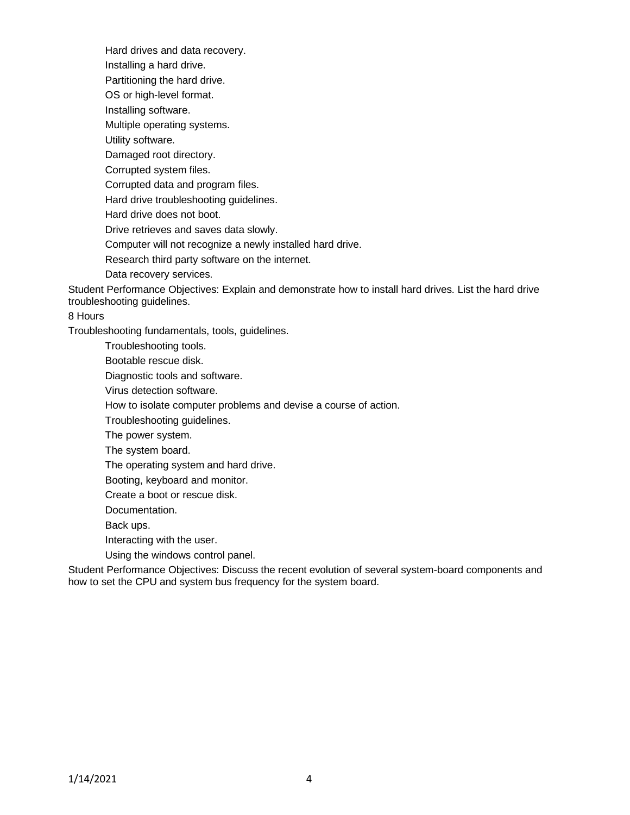Hard drives and data recovery.

Installing a hard drive.

Partitioning the hard drive.

OS or high-level format.

Installing software.

Multiple operating systems.

Utility software.

Damaged root directory.

Corrupted system files.

Corrupted data and program files.

Hard drive troubleshooting guidelines.

Hard drive does not boot.

Drive retrieves and saves data slowly.

Computer will not recognize a newly installed hard drive.

Research third party software on the internet.

Data recovery services.

Student Performance Objectives: Explain and demonstrate how to install hard drives. List the hard drive troubleshooting guidelines.

### 8 Hours

Troubleshooting fundamentals, tools, guidelines.

Troubleshooting tools.

Bootable rescue disk.

Diagnostic tools and software.

Virus detection software.

How to isolate computer problems and devise a course of action.

Troubleshooting guidelines.

The power system.

The system board.

The operating system and hard drive.

Booting, keyboard and monitor.

Create a boot or rescue disk.

Documentation.

Back ups.

Interacting with the user.

Using the windows control panel.

Student Performance Objectives: Discuss the recent evolution of several system-board components and how to set the CPU and system bus frequency for the system board.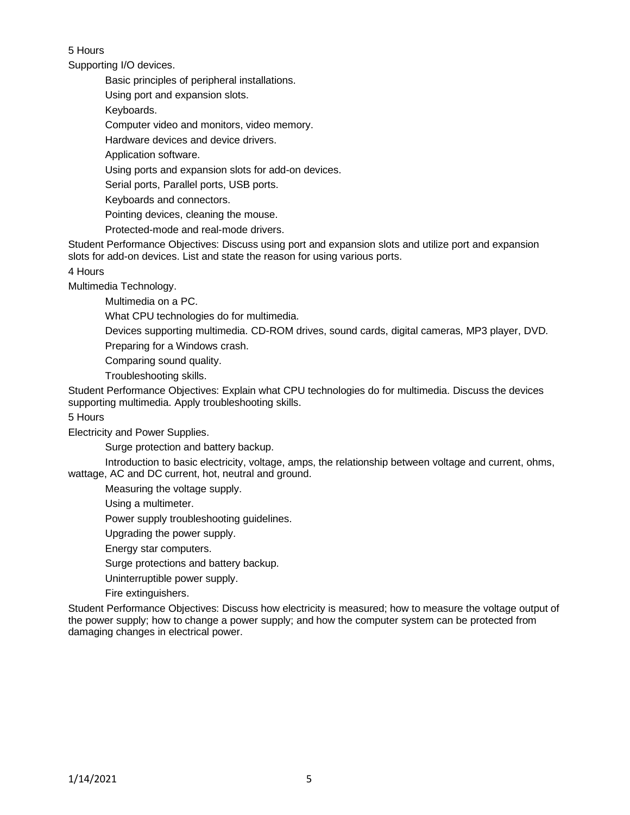# 5 Hours

Supporting I/O devices.

Basic principles of peripheral installations.

Using port and expansion slots.

Keyboards.

Computer video and monitors, video memory.

Hardware devices and device drivers.

Application software.

Using ports and expansion slots for add-on devices.

Serial ports, Parallel ports, USB ports.

Keyboards and connectors.

Pointing devices, cleaning the mouse.

Protected-mode and real-mode drivers.

Student Performance Objectives: Discuss using port and expansion slots and utilize port and expansion slots for add-on devices. List and state the reason for using various ports.

4 Hours

Multimedia Technology.

Multimedia on a PC.

What CPU technologies do for multimedia.

Devices supporting multimedia. CD-ROM drives, sound cards, digital cameras, MP3 player, DVD.

Preparing for a Windows crash.

Comparing sound quality.

Troubleshooting skills.

Student Performance Objectives: Explain what CPU technologies do for multimedia. Discuss the devices supporting multimedia. Apply troubleshooting skills.

5 Hours

Electricity and Power Supplies.

Surge protection and battery backup.

Introduction to basic electricity, voltage, amps, the relationship between voltage and current, ohms, wattage, AC and DC current, hot, neutral and ground.

Measuring the voltage supply.

Using a multimeter.

Power supply troubleshooting guidelines.

Upgrading the power supply.

Energy star computers.

Surge protections and battery backup.

Uninterruptible power supply.

Fire extinguishers.

Student Performance Objectives: Discuss how electricity is measured; how to measure the voltage output of the power supply; how to change a power supply; and how the computer system can be protected from damaging changes in electrical power.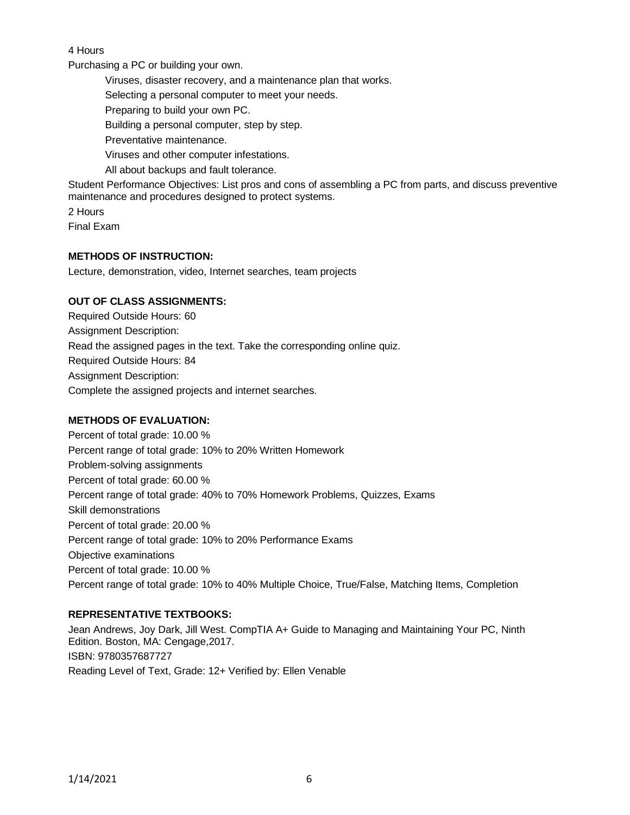## 4 Hours

Purchasing a PC or building your own.

Viruses, disaster recovery, and a maintenance plan that works.

Selecting a personal computer to meet your needs.

Preparing to build your own PC.

Building a personal computer, step by step.

Preventative maintenance.

Viruses and other computer infestations.

All about backups and fault tolerance.

Student Performance Objectives: List pros and cons of assembling a PC from parts, and discuss preventive maintenance and procedures designed to protect systems.

2 Hours

Final Exam

## **METHODS OF INSTRUCTION:**

Lecture, demonstration, video, Internet searches, team projects

# **OUT OF CLASS ASSIGNMENTS:**

Required Outside Hours: 60 Assignment Description: Read the assigned pages in the text. Take the corresponding online quiz. Required Outside Hours: 84 Assignment Description: Complete the assigned projects and internet searches.

# **METHODS OF EVALUATION:**

Percent of total grade: 10.00 % Percent range of total grade: 10% to 20% Written Homework Problem-solving assignments Percent of total grade: 60.00 % Percent range of total grade: 40% to 70% Homework Problems, Quizzes, Exams Skill demonstrations Percent of total grade: 20.00 % Percent range of total grade: 10% to 20% Performance Exams Objective examinations Percent of total grade: 10.00 % Percent range of total grade: 10% to 40% Multiple Choice, True/False, Matching Items, Completion

# **REPRESENTATIVE TEXTBOOKS:**

Jean Andrews, Joy Dark, Jill West. CompTIA A+ Guide to Managing and Maintaining Your PC, Ninth Edition. Boston, MA: Cengage,2017. ISBN: 9780357687727 Reading Level of Text, Grade: 12+ Verified by: Ellen Venable